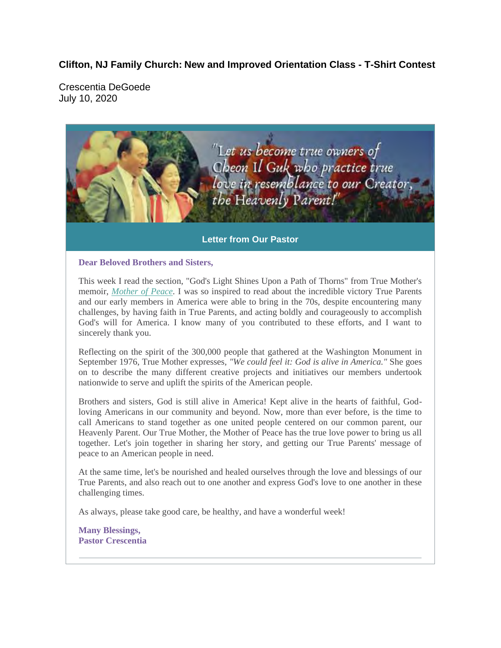### **Clifton, NJ Family Church: New and Improved Orientation Class - T-Shirt Contest**

Crescentia DeGoede July 10, 2020



#### **Letter from Our Pastor**

**Dear Beloved Brothers and Sisters,** 

This week I read the section, "God's Light Shines Upon a Path of Thorns" from True Mother's memoir, *Mother of Peace.* I was so inspired to read about the incredible victory True Parents and our early members in America were able to bring in the 70s, despite encountering many challenges, by having faith in True Parents, and acting boldly and courageously to accomplish God's will for America. I know many of you contributed to these efforts, and I want to sincerely thank you.

Reflecting on the spirit of the 300,000 people that gathered at the Washington Monument in September 1976, True Mother expresses, *"We could feel it: God is alive in America."* She goes on to describe the many different creative projects and initiatives our members undertook nationwide to serve and uplift the spirits of the American people.

Brothers and sisters, God is still alive in America! Kept alive in the hearts of faithful, Godloving Americans in our community and beyond. Now, more than ever before, is the time to call Americans to stand together as one united people centered on our common parent, our Heavenly Parent. Our True Mother, the Mother of Peace has the true love power to bring us all together. Let's join together in sharing her story, and getting our True Parents' message of peace to an American people in need.

At the same time, let's be nourished and healed ourselves through the love and blessings of our True Parents, and also reach out to one another and express God's love to one another in these challenging times.

As always, please take good care, be healthy, and have a wonderful week!

**Many Blessings, Pastor Crescentia**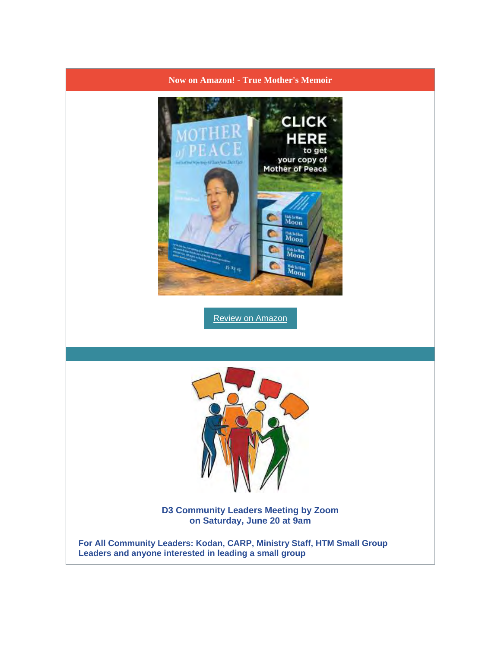# **Now on Amazon! - True Mother's Memoir CLICK HERE** to get your copy of<br>Mother of Peace **HALIH HALL**  $\frac{\text{H6}\cdot\text{Ia}\cdot\text{Hm}}{\text{Moop}}$  $\frac{m_{\rm d,thin}}{M_{\rm OO}}$ Review on Amazon **D3 Community Leaders Meeting by Zoom on Saturday, June 20 at 9am For All Community Leaders: Kodan, CARP, Ministry Staff, HTM Small Group Leaders and anyone interested in leading a small group**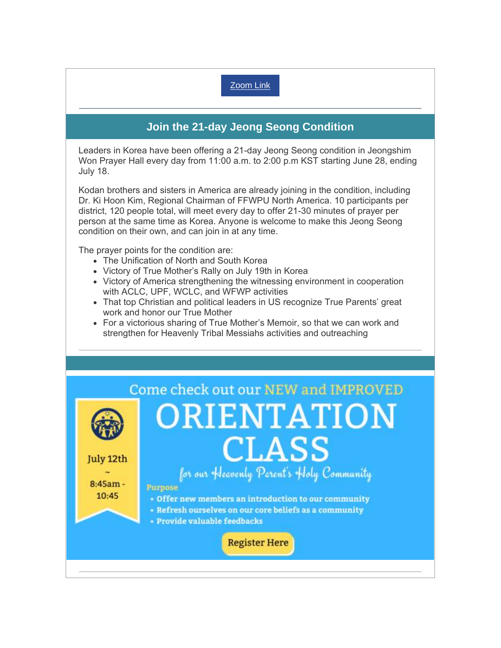## Zoom Link

## **Join the 21-day Jeong Seong Condition**

Leaders in Korea have been offering a 21-day Jeong Seong condition in Jeongshim Won Prayer Hall every day from 11:00 a.m. to 2:00 p.m KST starting June 28, ending July 18.

Kodan brothers and sisters in America are already joining in the condition, including Dr. Ki Hoon Kim, Regional Chairman of FFWPU North America. 10 participants per district, 120 people total, will meet every day to offer 21-30 minutes of prayer per person at the same time as Korea. Anyone is welcome to make this Jeong Seong condition on their own, and can join in at any time.

The prayer points for the condition are:

- The Unification of North and South Korea
- Victory of True Mother's Rally on July 19th in Korea
- Victory of America strengthening the witnessing environment in cooperation with ACLC, UPF, WCLC, and WFWP activities
- That top Christian and political leaders in US recognize True Parents' great work and honor our True Mother
- For a victorious sharing of True Mother's Memoir, so that we can work and strengthen for Heavenly Tribal Messiahs activities and outreaching

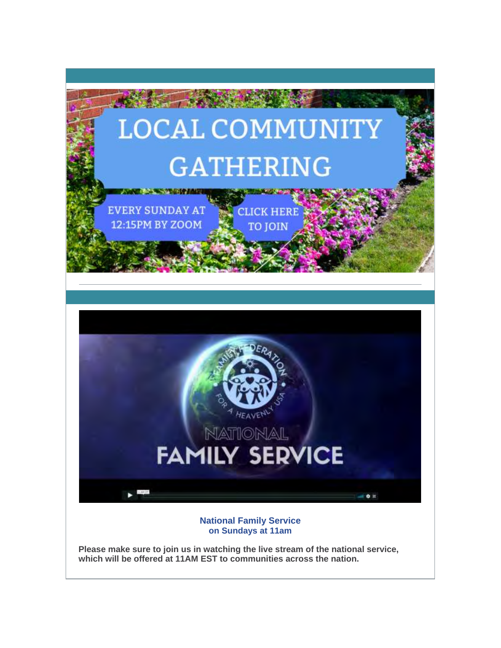

**Please make sure to join us in watching the live stream of the national service, which will be offered at 11AM EST to communities across the nation.**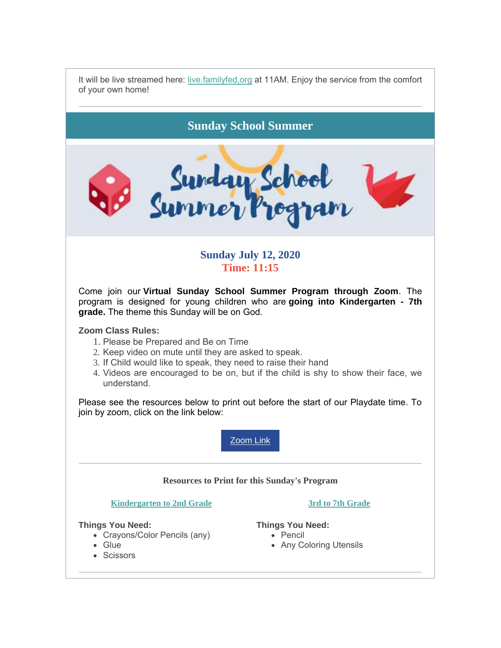It will be live streamed here: live.familyfed,org at 11AM. Enjoy the service from the comfort of your own home!

**Sunday School Summer**



### **Sunday July 12, 2020 Time: 11:15**

Come join our **Virtual Sunday School Summer Program through Zoom**. The program is designed for young children who are **going into Kindergarten - 7th grade.** The theme this Sunday will be on God.

#### **Zoom Class Rules:**

- 1. Please be Prepared and Be on Time
- 2. Keep video on mute until they are asked to speak.
- 3. If Child would like to speak, they need to raise their hand
- 4. Videos are encouraged to be on, but if the child is shy to show their face, we understand.

Please see the resources below to print out before the start of our Playdate time. To join by zoom, click on the link below:

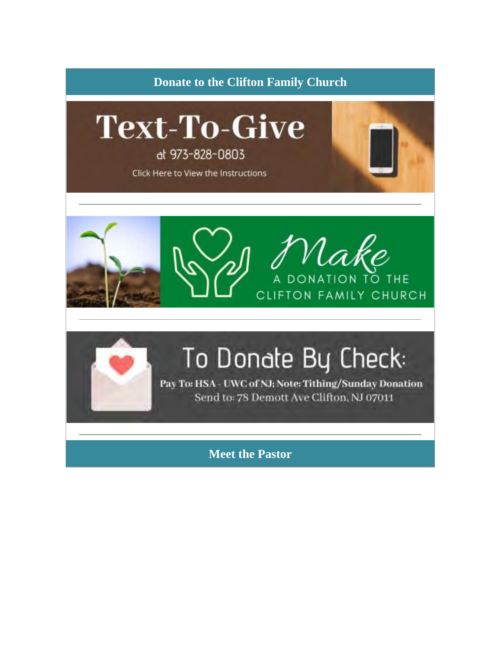





# To Donate By Check:

Pay To: HSA - UWC of NJ; Note: Tithing/Sunday Donation Send to: 78 Demott Ave Clifton, NJ 07011

Meet the Pastor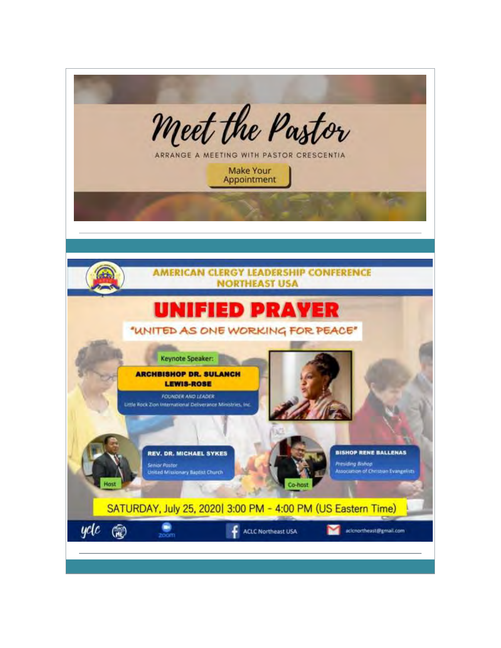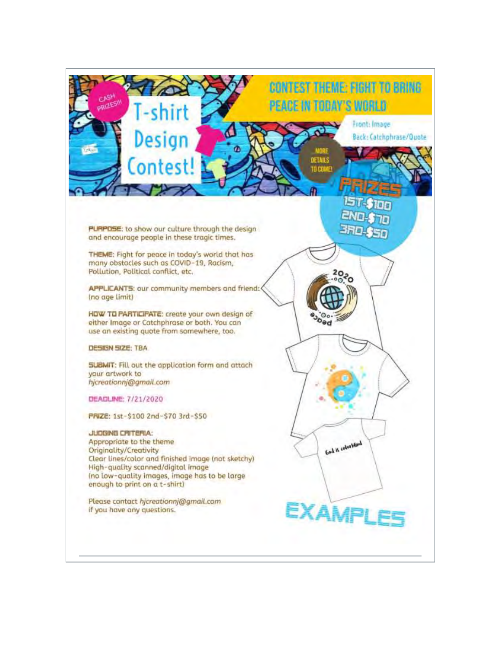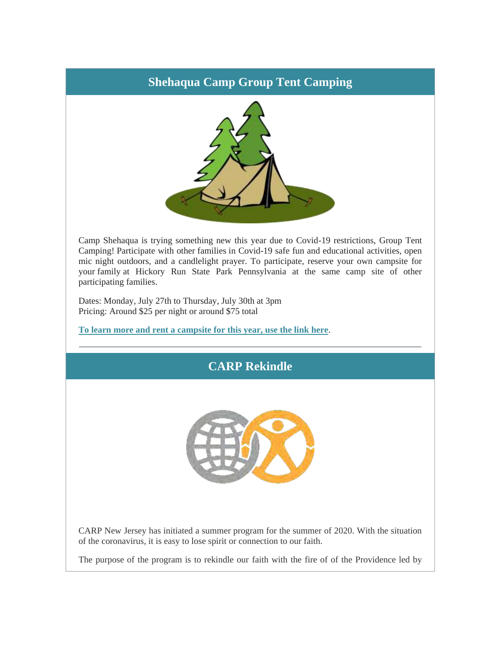## **Shehaqua Camp Group Tent Camping**



Camp Shehaqua is trying something new this year due to Covid-19 restrictions, Group Tent Camping! Participate with other families in Covid-19 safe fun and educational activities, open mic night outdoors, and a candlelight prayer. To participate, reserve your own campsite for your family at Hickory Run State Park Pennsylvania at the same camp site of other participating families.

Dates: Monday, July 27th to Thursday, July 30th at 3pm Pricing: Around \$25 per night or around \$75 total

**To learn more and rent a campsite for this year, use the link here**.

# **CARP Rekindle**



CARP New Jersey has initiated a summer program for the summer of 2020. With the situation of the coronavirus, it is easy to lose spirit or connection to our faith.

The purpose of the program is to rekindle our faith with the fire of of the Providence led by